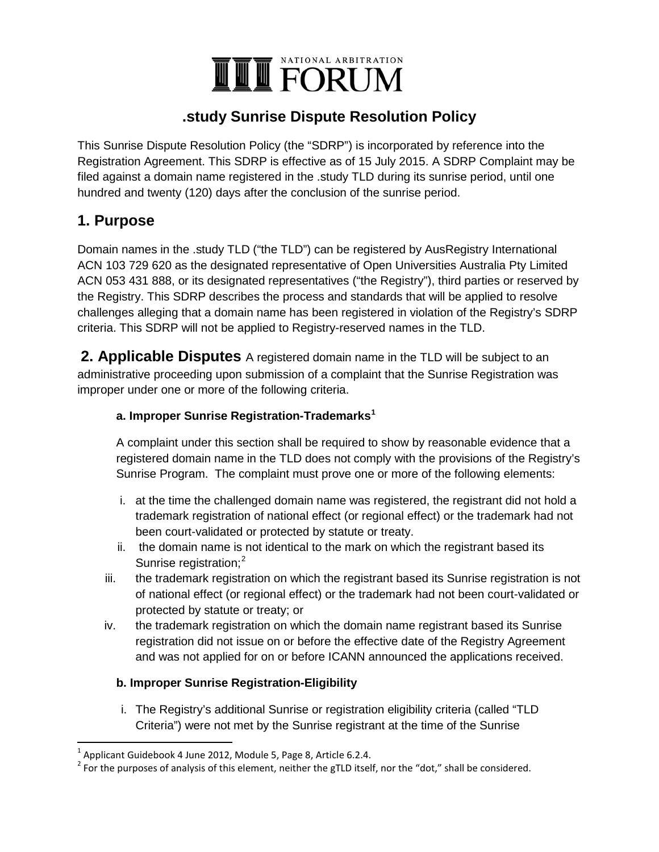# NATIONAL ARBITRATION **THE FORUM**

## **.study Sunrise Dispute Resolution Policy**

This Sunrise Dispute Resolution Policy (the "SDRP") is incorporated by reference into the Registration Agreement. This SDRP is effective as of 15 July 2015. A SDRP Complaint may be filed against a domain name registered in the .study TLD during its sunrise period, until one hundred and twenty (120) days after the conclusion of the sunrise period.

### **1. Purpose**

Domain names in the .study TLD ("the TLD") can be registered by AusRegistry International ACN 103 729 620 as the designated representative of Open Universities Australia Pty Limited ACN 053 431 888, or its designated representatives ("the Registry"), third parties or reserved by the Registry. This SDRP describes the process and standards that will be applied to resolve challenges alleging that a domain name has been registered in violation of the Registry's SDRP criteria. This SDRP will not be applied to Registry-reserved names in the TLD.

**2. Applicable Disputes** A registered domain name in the TLD will be subject to an administrative proceeding upon submission of a complaint that the Sunrise Registration was improper under one or more of the following criteria.

### a. Improper Sunrise Registration-Trademarks<sup>1</sup>

A complaint under this section shall be required to show by reasonable evidence that a registered domain name in the TLD does not comply with the provisions of the Registry's Sunrise Program. The complaint must prove one or more of the following elements:

- i. at the time the challenged domain name was registered, the registrant did not hold a trademark registration of national effect (or regional effect) or the trademark had not been court-validated or protected by statute or treaty.
- ii. the domain name is not identical to the mark on which the registrant based its Sunrise registration;<sup>2</sup>
- iii. the trademark registration on which the registrant based its Sunrise registration is not of national effect (or regional effect) or the trademark had not been court-validated or protected by statute or treaty; or
- iv. the trademark registration on which the domain name registrant based its Sunrise registration did not issue on or before the effective date of the Registry Agreement and was not applied for on or before ICANN announced the applications received.

#### **b. Improper Sunrise Registration-Eligibility**

i. The Registry's additional Sunrise or registration eligibility criteria (called "TLD Criteria") were not met by the Sunrise registrant at the time of the Sunrise

 $1$  Applicant Guidebook 4 June 2012, Module 5, Page 8, Article 6.2.4.

 $2^{2}$  For the purposes of analysis of this element, neither the gTLD itself, nor the "dot," shall be considered.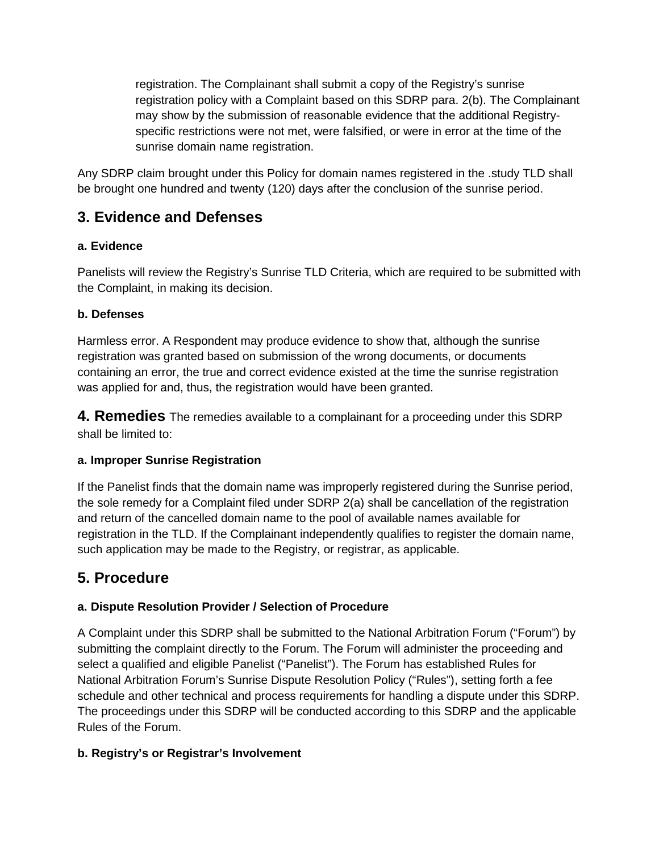registration. The Complainant shall submit a copy of the Registry's sunrise registration policy with a Complaint based on this SDRP para. 2(b). The Complainant may show by the submission of reasonable evidence that the additional Registryspecific restrictions were not met, were falsified, or were in error at the time of the sunrise domain name registration.

Any SDRP claim brought under this Policy for domain names registered in the .study TLD shall be brought one hundred and twenty (120) days after the conclusion of the sunrise period.

## **3. Evidence and Defenses**

### **a. Evidence**

Panelists will review the Registry's Sunrise TLD Criteria, which are required to be submitted with the Complaint, in making its decision.

### **b. Defenses**

Harmless error. A Respondent may produce evidence to show that, although the sunrise registration was granted based on submission of the wrong documents, or documents containing an error, the true and correct evidence existed at the time the sunrise registration was applied for and, thus, the registration would have been granted.

**4. Remedies** The remedies available to a complainant for a proceeding under this SDRP shall be limited to:

#### **a. Improper Sunrise Registration**

If the Panelist finds that the domain name was improperly registered during the Sunrise period, the sole remedy for a Complaint filed under SDRP 2(a) shall be cancellation of the registration and return of the cancelled domain name to the pool of available names available for registration in the TLD. If the Complainant independently qualifies to register the domain name, such application may be made to the Registry, or registrar, as applicable.

# **5. Procedure**

### **a. Dispute Resolution Provider / Selection of Procedure**

A Complaint under this SDRP shall be submitted to the National Arbitration Forum ("Forum") by submitting the complaint directly to the Forum. The Forum will administer the proceeding and select a qualified and eligible Panelist ("Panelist"). The Forum has established Rules for National Arbitration Forum's Sunrise Dispute Resolution Policy ("Rules"), setting forth a fee schedule and other technical and process requirements for handling a dispute under this SDRP. The proceedings under this SDRP will be conducted according to this SDRP and the applicable Rules of the Forum.

### **b. Registry's or Registrar's Involvement**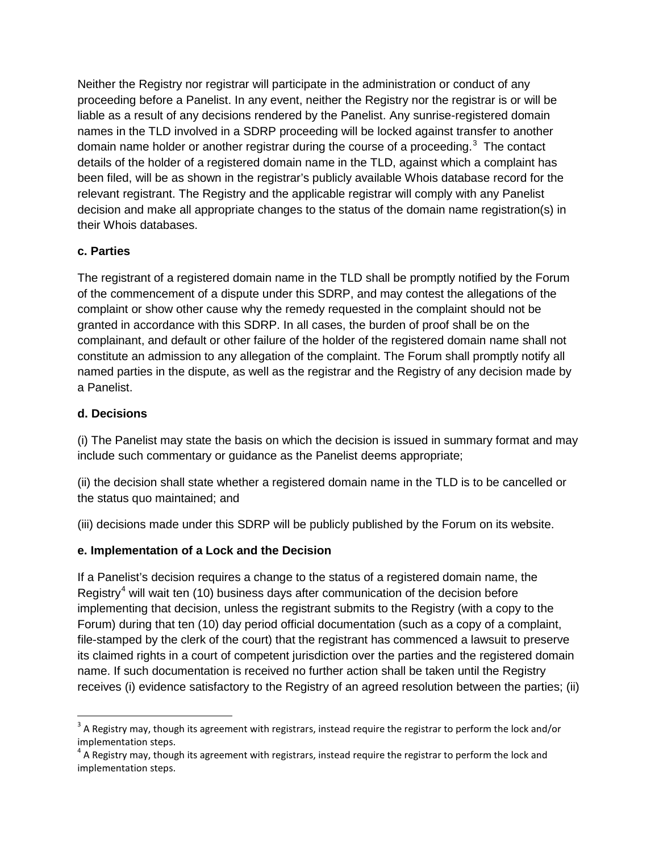Neither the Registry nor registrar will participate in the administration or conduct of any proceeding before a Panelist. In any event, neither the Registry nor the registrar is or will be liable as a result of any decisions rendered by the Panelist. Any sunrise-registered domain names in the TLD involved in a SDRP proceeding will be locked against transfer to another domain name holder or another registrar during the course of a proceeding.<sup>[3](#page-2-0)</sup> The contact details of the holder of a registered domain name in the TLD, against which a complaint has been filed, will be as shown in the registrar's publicly available Whois database record for the relevant registrant. The Registry and the applicable registrar will comply with any Panelist decision and make all appropriate changes to the status of the domain name registration(s) in their Whois databases.

#### **c. Parties**

The registrant of a registered domain name in the TLD shall be promptly notified by the Forum of the commencement of a dispute under this SDRP, and may contest the allegations of the complaint or show other cause why the remedy requested in the complaint should not be granted in accordance with this SDRP. In all cases, the burden of proof shall be on the complainant, and default or other failure of the holder of the registered domain name shall not constitute an admission to any allegation of the complaint. The Forum shall promptly notify all named parties in the dispute, as well as the registrar and the Registry of any decision made by a Panelist.

#### **d. Decisions**

(i) The Panelist may state the basis on which the decision is issued in summary format and may include such commentary or guidance as the Panelist deems appropriate;

(ii) the decision shall state whether a registered domain name in the TLD is to be cancelled or the status quo maintained; and

(iii) decisions made under this SDRP will be publicly published by the Forum on its website.

#### **e. Implementation of a Lock and the Decision**

If a Panelist's decision requires a change to the status of a registered domain name, the Registry<sup>[4](#page-2-1)</sup> will wait ten (10) business days after communication of the decision before implementing that decision, unless the registrant submits to the Registry (with a copy to the Forum) during that ten (10) day period official documentation (such as a copy of a complaint, file-stamped by the clerk of the court) that the registrant has commenced a lawsuit to preserve its claimed rights in a court of competent jurisdiction over the parties and the registered domain name. If such documentation is received no further action shall be taken until the Registry receives (i) evidence satisfactory to the Registry of an agreed resolution between the parties; (ii)

<span id="page-2-0"></span> $3$  A Registry may, though its agreement with registrars, instead require the registrar to perform the lock and/or implementation steps.

<span id="page-2-1"></span> $4\,$  A Registry may, though its agreement with registrars, instead require the registrar to perform the lock and implementation steps.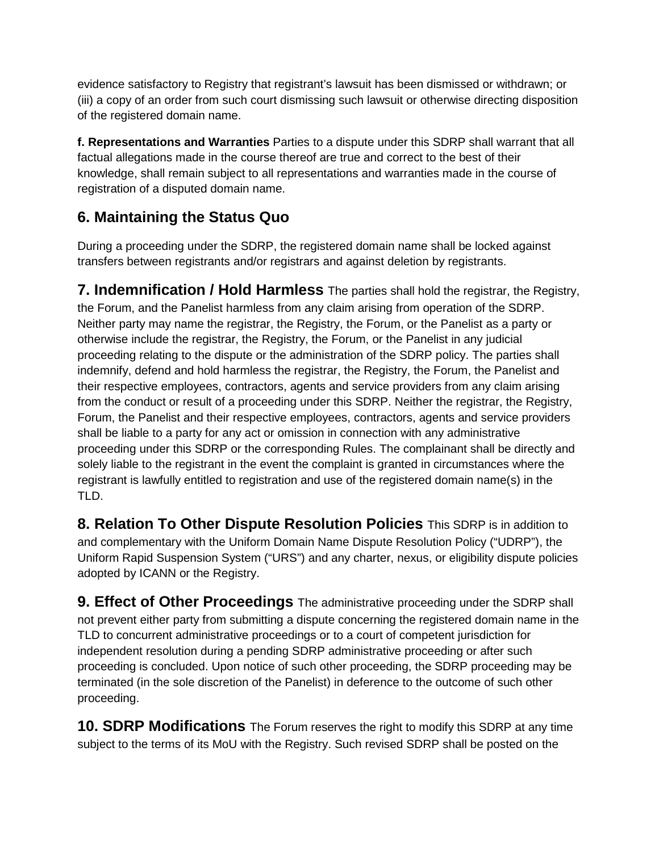evidence satisfactory to Registry that registrant's lawsuit has been dismissed or withdrawn; or (iii) a copy of an order from such court dismissing such lawsuit or otherwise directing disposition of the registered domain name.

**f. Representations and Warranties** Parties to a dispute under this SDRP shall warrant that all factual allegations made in the course thereof are true and correct to the best of their knowledge, shall remain subject to all representations and warranties made in the course of registration of a disputed domain name.

# **6. Maintaining the Status Quo**

During a proceeding under the SDRP, the registered domain name shall be locked against transfers between registrants and/or registrars and against deletion by registrants.

**7. Indemnification / Hold Harmless** The parties shall hold the registrar, the Registry, the Forum, and the Panelist harmless from any claim arising from operation of the SDRP. Neither party may name the registrar, the Registry, the Forum, or the Panelist as a party or otherwise include the registrar, the Registry, the Forum, or the Panelist in any judicial proceeding relating to the dispute or the administration of the SDRP policy. The parties shall indemnify, defend and hold harmless the registrar, the Registry, the Forum, the Panelist and their respective employees, contractors, agents and service providers from any claim arising from the conduct or result of a proceeding under this SDRP. Neither the registrar, the Registry, Forum, the Panelist and their respective employees, contractors, agents and service providers shall be liable to a party for any act or omission in connection with any administrative proceeding under this SDRP or the corresponding Rules. The complainant shall be directly and solely liable to the registrant in the event the complaint is granted in circumstances where the registrant is lawfully entitled to registration and use of the registered domain name(s) in the TLD.

**8. Relation To Other Dispute Resolution Policies** This SDRP is in addition to and complementary with the Uniform Domain Name Dispute Resolution Policy ("UDRP"), the Uniform Rapid Suspension System ("URS") and any charter, nexus, or eligibility dispute policies adopted by ICANN or the Registry.

**9. Effect of Other Proceedings** The administrative proceeding under the SDRP shall not prevent either party from submitting a dispute concerning the registered domain name in the TLD to concurrent administrative proceedings or to a court of competent jurisdiction for independent resolution during a pending SDRP administrative proceeding or after such proceeding is concluded. Upon notice of such other proceeding, the SDRP proceeding may be terminated (in the sole discretion of the Panelist) in deference to the outcome of such other proceeding.

**10. SDRP Modifications** The Forum reserves the right to modify this SDRP at any time subject to the terms of its MoU with the Registry. Such revised SDRP shall be posted on the